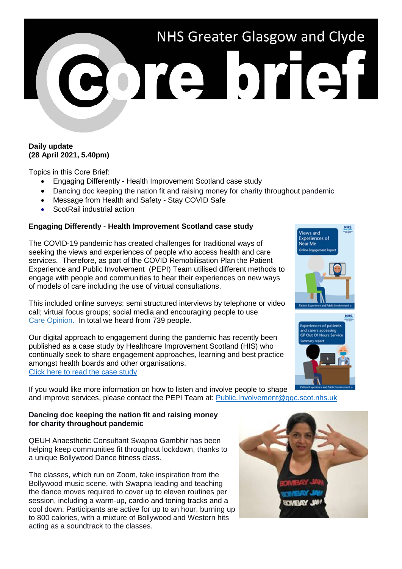

# **Daily update (28 April 2021, 5.40pm)**

Topics in this Core Brief:

- Engaging Differently Health Improvement Scotland case study
- Dancing doc keeping the nation fit and raising money for charity throughout pandemic
- Message from Health and Safety Stay COVID Safe
- ScotRail industrial action

## **Engaging Differently - Health Improvement Scotland case study**

The COVID-19 pandemic has created challenges for traditional ways of seeking the views and experiences of people who access health and care services. Therefore, as part of the COVID Remobilisation Plan the Patient Experience and Public Involvement (PEPI) Team utilised different methods to engage with people and communities to hear their experiences on new ways of models of care including the use of virtual consultations.

This included online surveys; semi structured interviews by telephone or video call; virtual focus groups; social media and encouraging people to use [Care Opinion.](https://www.careopinion.org.uk/) In total we heard from 739 people.

Our digital approach to engagement during the pandemic has recently been published as a case study by Healthcare Improvement Scotland (HIS) who continually seek to share engagement approaches, learning and best practice amongst health boards and other organisations. [Click here to read the case study.](https://www.hisengage.scot/equipping-professionals/engaging-differently/examples/online-community-engagement-in-glasgow/)

If you would like more information on how to listen and involve people to shape and improve services, please contact the PEPI Team at: [Public.Involvement@ggc.scot.nhs.uk](mailto:Public.Involvement@ggc.scot.nhs.uk)

### **Dancing doc keeping the nation fit and raising money for charity throughout pandemic**

QEUH Anaesthetic Consultant Swapna Gambhir has been helping keep communities fit throughout lockdown, thanks to a unique Bollywood Dance fitness class.

The classes, which run on Zoom, take inspiration from the Bollywood music scene, with Swapna leading and teaching the dance moves required to cover up to eleven routines per session, including a warm-up, cardio and toning tracks and a cool down. Participants are active for up to an hour, burning up to 800 calories, with a mixture of Bollywood and Western hits acting as a soundtrack to the classes.